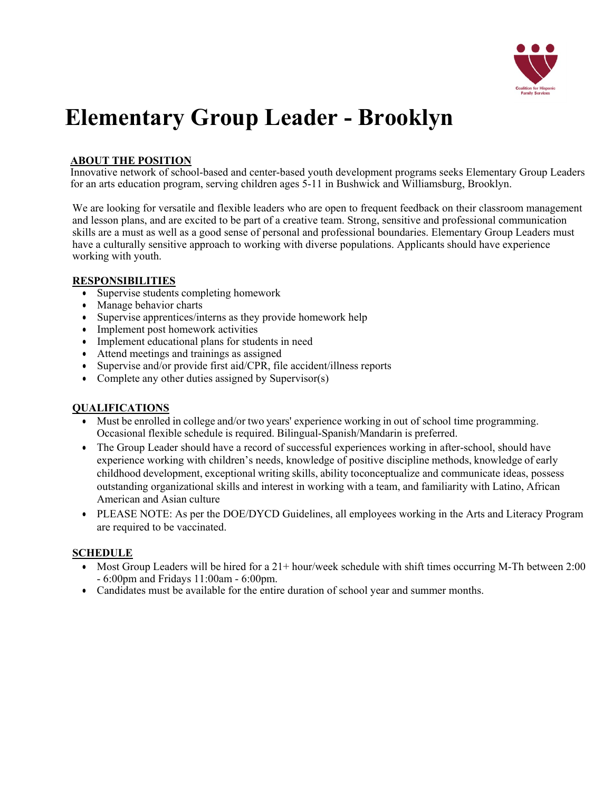

# **Elementary Group Leader - Brooklyn**

## **ABOUT THE POSITION**

Innovative network of school-based and center-based youth development programs seeks Elementary Group Leaders for an arts education program, serving children ages 5-11 in Bushwick and Williamsburg, Brooklyn.

We are looking for versatile and flexible leaders who are open to frequent feedback on their classroom management and lesson plans, and are excited to be part of a creative team. Strong, sensitive and professional communication skills are a must as well as a good sense of personal and professional boundaries. Elementary Group Leaders must have a culturally sensitive approach to working with diverse populations. Applicants should have experience working with youth.

#### **RESPONSIBILITIES**

- Supervise students completing homework
- Manage behavior charts
- Supervise apprentices/interns as they provide homework help
- Implement post homework activities
- Implement educational plans for students in need
- Attend meetings and trainings as assigned
- Supervise and/or provide first aid/CPR, file accident/illness reports
- Complete any other duties assigned by Supervisor(s)

#### **QUALIFICATIONS**

- Must be enrolled in college and/or two years' experience working in out of school time programming. Occasional flexible schedule is required. Bilingual-Spanish/Mandarin is preferred.
- The Group Leader should have a record of successful experiences working in after-school, should have experience working with children's needs, knowledge of positive discipline methods, knowledge of early childhood development, exceptional writing skills, ability toconceptualize and communicate ideas, possess outstanding organizational skills and interest in working with a team, and familiarity with Latino, African American and Asian culture
- PLEASE NOTE: As per the DOE/DYCD Guidelines, all employees working in the Arts and Literacy Program are required to be vaccinated.

#### **SCHEDULE**

- Most Group Leaders will be hired for a  $21+$  hour/week schedule with shift times occurring M-Th between 2:00 - 6:00pm and Fridays 11:00am - 6:00pm.
- Candidates must be available for the entire duration of school year and summer months.